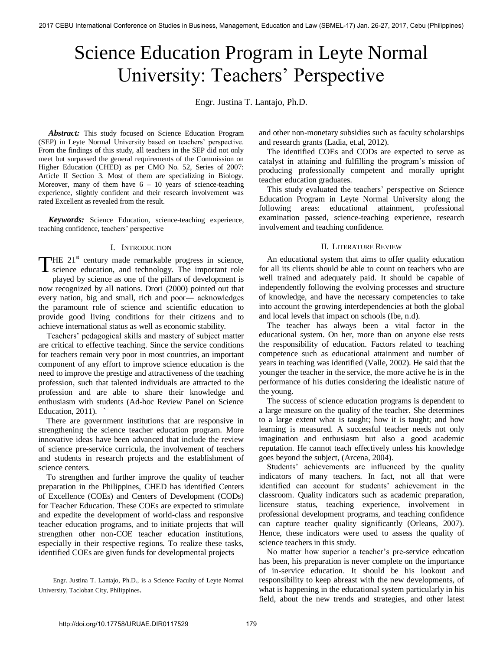# Science Education Program in Leyte Normal University: Teachers' Perspective

Engr. Justina T. Lantajo, Ph.D.

*Abstract:* This study focused on Science Education Program (SEP) in Leyte Normal University based on teachers' perspective. From the findings of this study, all teachers in the SEP did not only meet but surpassed the general requirements of the Commission on Higher Education (CHED) as per CMO No. 52, Series of 2007: Article II Section 3. Most of them are specializing in Biology. Moreover, many of them have  $6 - 10$  years of science-teaching experience, slightly confident and their research involvement was rated Excellent as revealed from the result.

 *Keywords:* Science Education, science-teaching experience, teaching confidence, teachers' perspective

## I. INTRODUCTION

 $H = 21<sup>st</sup>$  century made remarkable progress in science, THE 21<sup>st</sup> century made remarkable progress in science, science education, and technology. The important role

played by science as one of the pillars of development is now recognized by all nations. Drori (2000) pointed out that every nation, big and small, rich and poor― acknowledges the paramount role of science and scientific education to provide good living conditions for their citizens and to achieve international status as well as economic stability.

 Teachers' pedagogical skills and mastery of subject matter are critical to effective teaching. Since the service conditions for teachers remain very poor in most countries, an important component of any effort to improve science education is the need to improve the prestige and attractiveness of the teaching profession, such that talented individuals are attracted to the profession and are able to share their knowledge and enthusiasm with students (Ad-hoc Review Panel on Science Education,  $2011$ ).

 There are government institutions that are responsive in strengthening the science teacher education program. More innovative ideas have been advanced that include the review of science pre-service curricula, the involvement of teachers and students in research projects and the establishment of science centers.

 To strengthen and further improve the quality of teacher preparation in the Philippines, CHED has identified Centers of Excellence (COEs) and Centers of Development (CODs) for Teacher Education. These COEs are expected to stimulate and expedite the development of world-class and responsive teacher education programs, and to initiate projects that will strengthen other non-COE teacher education institutions, especially in their respective regions. To realize these tasks, identified COEs are given funds for developmental projects

Engr. Justina T. Lantajo, Ph.D., is a Science Faculty of Leyte Normal University, Tacloban City, Philippines.

and other non-monetary subsidies such as faculty scholarships and research grants (Ladia, et.al, 2012).

 The identified COEs and CODs are expected to serve as catalyst in attaining and fulfilling the program's mission of producing professionally competent and morally upright teacher education graduates.

 This study evaluated the teachers' perspective on Science Education Program in Leyte Normal University along the following areas: educational attainment, professional examination passed, science-teaching experience, research involvement and teaching confidence.

## II. LITERATURE REVIEW

 An educational system that aims to offer quality education for all its clients should be able to count on teachers who are well trained and adequately paid. It should be capable of independently following the evolving processes and structure of knowledge, and have the necessary competencies to take into account the growing interdependencies at both the global and local levels that impact on schools (Ibe, n.d).

 The teacher has always been a vital factor in the educational system. On her, more than on anyone else rests the responsibility of education. Factors related to teaching competence such as educational attainment and number of years in teaching was identified (Valle, 2002). He said that the younger the teacher in the service, the more active he is in the performance of his duties considering the idealistic nature of the young.

 The success of science education programs is dependent to a large measure on the quality of the teacher. She determines to a large extent what is taught; how it is taught; and how learning is measured. A successful teacher needs not only imagination and enthusiasm but also a good academic reputation. He cannot teach effectively unless his knowledge goes beyond the subject, (Arcena, 2004).

 Students' achievements are influenced by the quality indicators of many teachers. In fact, not all that were identified can account for students' achievement in the classroom. Quality indicators such as academic preparation, licensure status, teaching experience, involvement in professional development programs, and teaching confidence can capture teacher quality significantly (Orleans, 2007). Hence, these indicators were used to assess the quality of science teachers in this study.

 No matter how superior a teacher's pre-service education has been, his preparation is never complete on the importance of in-service education. It should be his lookout and responsibility to keep abreast with the new developments, of what is happening in the educational system particularly in his field, about the new trends and strategies, and other latest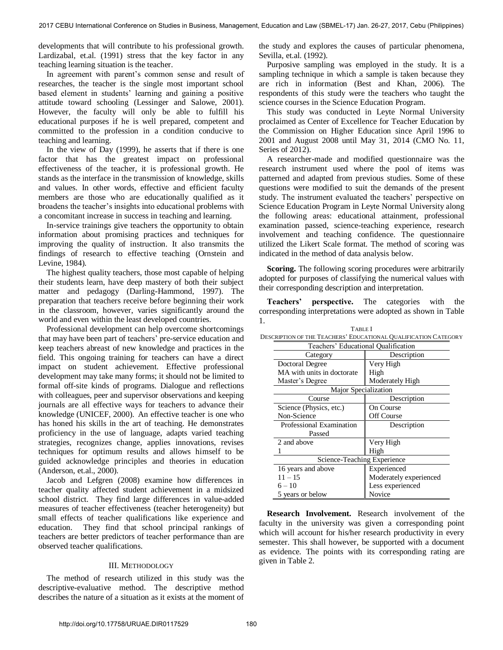developments that will contribute to his professional growth. Lardizabal, et.al. (1991) stress that the key factor in any teaching learning situation is the teacher.

 In agreement with parent's common sense and result of researches, the teacher is the single most important school based element in students' learning and gaining a positive attitude toward schooling (Lessinger and Salowe, 2001). However, the faculty will only be able to fulfill his educational purposes if he is well prepared, competent and committed to the profession in a condition conducive to teaching and learning.

 In the view of Day (1999), he asserts that if there is one factor that has the greatest impact on professional effectiveness of the teacher, it is professional growth. He stands as the interface in the transmission of knowledge, skills and values. In other words, effective and efficient faculty members are those who are educationally qualified as it broadens the teacher's insights into educational problems with a concomitant increase in success in teaching and learning.

 In-service trainings give teachers the opportunity to obtain information about promising practices and techniques for improving the quality of instruction. It also transmits the findings of research to effective teaching (Ornstein and Levine, 1984).

 The highest quality teachers, those most capable of helping their students learn, have deep mastery of both their subject matter and pedagogy (Darling-Hammond, 1997). The preparation that teachers receive before beginning their work in the classroom, however, varies significantly around the world and even within the least developed countries.

 Professional development can help overcome shortcomings that may have been part of teachers' pre-service education and keep teachers abreast of new knowledge and practices in the field. This ongoing training for teachers can have a direct impact on student achievement. Effective professional development may take many forms; it should not be limited to formal off-site kinds of programs. Dialogue and reflections with colleagues, peer and supervisor observations and keeping journals are all effective ways for teachers to advance their knowledge (UNICEF, 2000). An effective teacher is one who has honed his skills in the art of teaching. He demonstrates proficiency in the use of language, adapts varied teaching strategies, recognizes change, applies innovations, revises techniques for optimum results and allows himself to be guided acknowledge principles and theories in education (Anderson, et.al., 2000).

 Jacob and Lefgren (2008) examine how differences in teacher quality affected student achievement in a midsized school district. They find large differences in value-added measures of teacher effectiveness (teacher heterogeneity) but small effects of teacher qualifications like experience and education. They find that school principal rankings of teachers are better predictors of teacher performance than are observed teacher qualifications.

# III. METHODOLOGY

The method of research utilized in this study was the descriptive-evaluative method. The descriptive method describes the nature of a situation as it exists at the moment of

the study and explores the causes of particular phenomena, Sevilla, et.al. (1992).

 Purposive sampling was employed in the study. It is a sampling technique in which a sample is taken because they are rich in information (Best and Khan, 2006). The respondents of this study were the teachers who taught the science courses in the Science Education Program.

 This study was conducted in Leyte Normal University proclaimed as Center of Excellence for Teacher Education by the Commission on Higher Education since April 1996 to 2001 and August 2008 until May 31, 2014 (CMO No. 11, Series of 2012).

 A researcher-made and modified questionnaire was the research instrument used where the pool of items was patterned and adapted from previous studies. Some of these questions were modified to suit the demands of the present study. The instrument evaluated the teachers' perspective on Science Education Program in Leyte Normal University along the following areas: educational attainment, professional examination passed, science-teaching experience, research involvement and teaching confidence. The questionnaire utilized the Likert Scale format. The method of scoring was indicated in the method of data analysis below.

 **Scoring.** The following scoring procedures were arbitrarily adopted for purposes of classifying the numerical values with their corresponding description and interpretation.

 **Teachers' perspective.** The categories with the corresponding interpretations were adopted as shown in Table 1.

| SCKIETION OF THE TEACHERS EDUCATIONAL QUALIFICATION CATEGO |                        |  |  |  |  |
|------------------------------------------------------------|------------------------|--|--|--|--|
| Teachers' Educational Qualification                        |                        |  |  |  |  |
| Category                                                   | Description            |  |  |  |  |
| Doctoral Degree                                            | Very High              |  |  |  |  |
| MA with units in doctorate                                 | High                   |  |  |  |  |
| Master's Degree                                            | Moderately High        |  |  |  |  |
| Major Specialization                                       |                        |  |  |  |  |
| Course                                                     | Description            |  |  |  |  |
| Science (Physics, etc.)                                    | On Course              |  |  |  |  |
| Non-Science                                                | Off Course             |  |  |  |  |
| Professional Examination                                   | Description            |  |  |  |  |
| Passed                                                     |                        |  |  |  |  |
| 2 and above                                                | Very High              |  |  |  |  |
|                                                            | High                   |  |  |  |  |
| Science-Teaching Experience                                |                        |  |  |  |  |
| 16 years and above                                         | Experienced            |  |  |  |  |
| $11 - 15$                                                  | Moderately experienced |  |  |  |  |
| $6 - 10$                                                   | Less experienced       |  |  |  |  |
| 5 years or below                                           | Novice                 |  |  |  |  |

TABLE I DESCRIPTION OF THE TEACHERS' EDUCATIONAL QUALIFICATION CATEGORY

 **Research Involvement.** Research involvement of the faculty in the university was given a corresponding point which will account for his/her research productivity in every semester. This shall however, be supported with a document as evidence. The points with its corresponding rating are given in Table 2.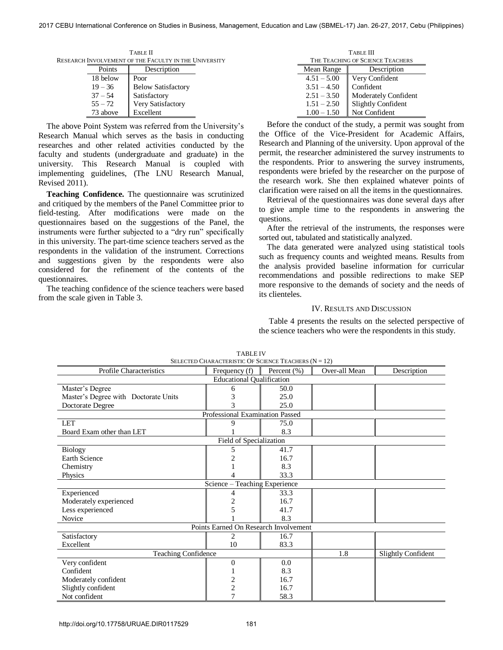| TABLE II                                              |              |                           |  |  |  |
|-------------------------------------------------------|--------------|---------------------------|--|--|--|
| RESEARCH INVOLVEMENT OF THE FACULTY IN THE UNIVERSITY |              |                           |  |  |  |
| Points                                                |              | Description               |  |  |  |
| 18 below                                              | Poor         |                           |  |  |  |
| $19 - 36$                                             |              | <b>Below Satisfactory</b> |  |  |  |
| $37 - 54$                                             | Satisfactory |                           |  |  |  |
| $55 - 72$                                             |              | Very Satisfactory         |  |  |  |
| 73 above                                              | Excellent    |                           |  |  |  |

 The above Point System was referred from the University's Research Manual which serves as the basis in conducting researches and other related activities conducted by the faculty and students (undergraduate and graduate) in the university. This Research Manual is coupled with implementing guidelines, (The LNU Research Manual, Revised 2011).

 **Teaching Confidence.** The questionnaire was scrutinized and critiqued by the members of the Panel Committee prior to field-testing. After modifications were made on the questionnaires based on the suggestions of the Panel, the instruments were further subjected to a "dry run" specifically in this university. The part-time science teachers served as the respondents in the validation of the instrument. Corrections and suggestions given by the respondents were also considered for the refinement of the contents of the questionnaires.

 The teaching confidence of the science teachers were based from the scale given in Table 3.

| <b>TABLE III</b>                 |                             |  |  |  |
|----------------------------------|-----------------------------|--|--|--|
| THE TEACHING OF SCIENCE TEACHERS |                             |  |  |  |
| Mean Range                       | Description                 |  |  |  |
| $4.51 - 5.00$                    | Very Confident              |  |  |  |
| $3.51 - 4.50$                    | Confident                   |  |  |  |
| $2.51 - 3.50$                    | <b>Moderately Confident</b> |  |  |  |
| $1.51 - 2.50$                    | Slightly Confident          |  |  |  |
| $1.00 - 1.50$                    | Not Confident               |  |  |  |

 Before the conduct of the study, a permit was sought from the Office of the Vice-President for Academic Affairs, Research and Planning of the university. Upon approval of the permit, the researcher administered the survey instruments to the respondents. Prior to answering the survey instruments, respondents were briefed by the researcher on the purpose of the research work. She then explained whatever points of clarification were raised on all the items in the questionnaires.

 Retrieval of the questionnaires was done several days after to give ample time to the respondents in answering the questions.

 After the retrieval of the instruments, the responses were sorted out, tabulated and statistically analyzed.

 The data generated were analyzed using statistical tools such as frequency counts and weighted means. Results from the analysis provided baseline information for curricular recommendations and possible redirections to make SEP more responsive to the demands of society and the needs of its clienteles.

#### IV. RESULTS AND DISCUSSION

 Table 4 presents the results on the selected perspective of the science teachers who were the respondents in this study.

| SELECTED CHARACTERISTIC OF SCIENCE TEACHERS $(N = 12)$ |                                       |             |               |                           |  |  |  |  |
|--------------------------------------------------------|---------------------------------------|-------------|---------------|---------------------------|--|--|--|--|
| Profile Characteristics                                | Frequency (f)                         | Percent (%) | Over-all Mean | Description               |  |  |  |  |
| <b>Educational Qualification</b>                       |                                       |             |               |                           |  |  |  |  |
| Master's Degree                                        | 6                                     | 50.0        |               |                           |  |  |  |  |
| Master's Degree with Doctorate Units                   | 3                                     | 25.0        |               |                           |  |  |  |  |
| Doctorate Degree                                       | 3                                     | 25.0        |               |                           |  |  |  |  |
| Professional Examination Passed                        |                                       |             |               |                           |  |  |  |  |
| <b>LET</b>                                             | 9                                     | 75.0        |               |                           |  |  |  |  |
| Board Exam other than LET                              |                                       | 8.3         |               |                           |  |  |  |  |
| Field of Specialization                                |                                       |             |               |                           |  |  |  |  |
| <b>Biology</b>                                         | 5                                     | 41.7        |               |                           |  |  |  |  |
| <b>Earth Science</b>                                   |                                       | 16.7        |               |                           |  |  |  |  |
| Chemistry                                              |                                       | 8.3         |               |                           |  |  |  |  |
| Physics                                                |                                       | 33.3        |               |                           |  |  |  |  |
|                                                        | Science – Teaching Experience         |             |               |                           |  |  |  |  |
| Experienced                                            | 4                                     | 33.3        |               |                           |  |  |  |  |
| Moderately experienced                                 | 2                                     | 16.7        |               |                           |  |  |  |  |
| Less experienced                                       | 5                                     | 41.7        |               |                           |  |  |  |  |
| Novice                                                 |                                       | 8.3         |               |                           |  |  |  |  |
|                                                        | Points Earned On Research Involvement |             |               |                           |  |  |  |  |
| Satisfactory                                           | 2                                     | 16.7        |               |                           |  |  |  |  |
| Excellent                                              | 10                                    | 83.3        |               |                           |  |  |  |  |
| <b>Teaching Confidence</b>                             |                                       |             | 1.8           | <b>Slightly Confident</b> |  |  |  |  |
| Very confident                                         | 0                                     | 0.0         |               |                           |  |  |  |  |
| Confident                                              |                                       | 8.3         |               |                           |  |  |  |  |
| Moderately confident                                   | $\overline{\mathbf{c}}$               | 16.7        |               |                           |  |  |  |  |
| Slightly confident                                     | $\overline{c}$                        | 16.7        |               |                           |  |  |  |  |
| Not confident                                          |                                       | 58.3        |               |                           |  |  |  |  |

TABLE IV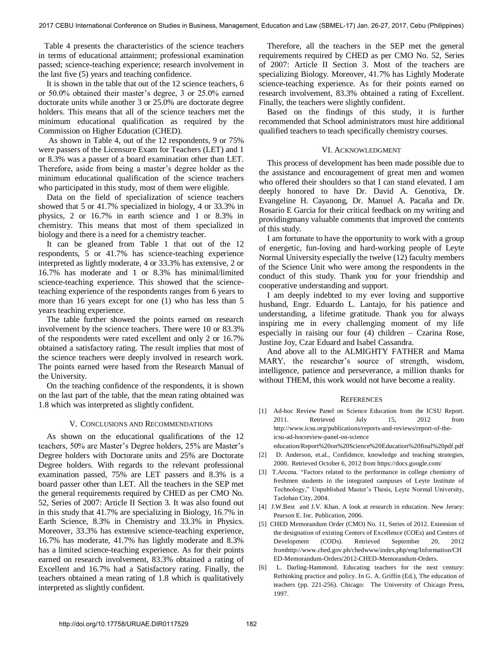Table 4 presents the characteristics of the science teachers in terms of educational attainment; professional examination passed; science-teaching experience; research involvement in the last five (5) years and teaching confidence.

 It is shown in the table that out of the 12 science teachers, 6 or 50.0% obtained their master's degree, 3 or 25.0% earned doctorate units while another 3 or 25.0% are doctorate degree holders. This means that all of the science teachers met the minimum educational qualification as required by the Commission on Higher Education (CHED).

 As shown in Table 4, out of the 12 respondents, 9 or 75% were passers of the Licensure Exam for Teachers (LET) and 1 or 8.3% was a passer of a board examination other than LET. Therefore, aside from being a master's degree holder as the minimum educational qualification of the science teachers who participated in this study, most of them were eligible.

Data on the field of specialization of science teachers showed that 5 or 41.7% specialized in biology, 4 or 33.3% in physics, 2 or 16.7% in earth science and 1 or 8.3% in chemistry. This means that most of them specialized in biology and there is a need for a chemistry teacher.

It can be gleaned from Table 1 that out of the 12 respondents, 5 or 41.7% has science-teaching experience interpreted as lightly moderate, 4 or 33.3% has extensive, 2 or 16.7% has moderate and 1 or 8.3% has minimal/limited science-teaching experience. This showed that the scienceteaching experience of the respondents ranges from 6 years to more than 16 years except for one (1) who has less than 5 years teaching experience.

The table further showed the points earned on research involvement by the science teachers. There were 10 or 83.3% of the respondents were rated excellent and only 2 or 16.7% obtained a satisfactory rating. The result implies that most of the science teachers were deeply involved in research work. The points earned were based from the Research Manual of the University.

On the teaching confidence of the respondents, it is shown on the last part of the table, that the mean rating obtained was 1.8 which was interpreted as slightly confident.

## V. CONCLUSIONS AND RECOMMENDATIONS

As shown on the educational qualifications of the 12 teachers, 50% are Master's Degree holders, 25% are Master's Degree holders with Doctorate units and 25% are Doctorate Degree holders. With regards to the relevant professional examination passed, 75% are LET passers and 8.3% is a board passer other than LET. All the teachers in the SEP met the general requirements required by CHED as per CMO No. 52, Series of 2007: Article II Section 3. It was also found out in this study that 41.7% are specializing in Biology, 16.7% in Earth Science, 8.3% in Chemistry and 33.3% in Physics. Moreover, 33.3% has extensive science-teaching experience, 16.7% has moderate, 41.7% has lightly moderate and 8.3% has a limited science-teaching experience. As for their points earned on research involvement, 83.3% obtained a rating of Excellent and 16.7% had a Satisfactory rating. Finally, the teachers obtained a mean rating of 1.8 which is qualitatively interpreted as slightly confident.

 Therefore, all the teachers in the SEP met the general requirements required by CHED as per CMO No. 52, Series of 2007: Article II Section 3. Most of the teachers are specializing Biology. Moreover, 41.7% has Lightly Moderate science-teaching experience. As for their points earned on research involvement, 83.3% obtained a rating of Excellent. Finally, the teachers were slightly confident.

 Based on the findings of this study, it is further recommended that School administrators must hire additional qualified teachers to teach specifically chemistry courses.

# VI. ACKNOWLEDGMENT

This process of development has been made possible due to the assistance and encouragement of great men and women who offered their shoulders so that I can stand elevated. I am deeply honored to have Dr. David A. Genotiva, Dr. Evangeline H. Cayanong, Dr. Manuel A. Pacaña and Dr. Rosario E Garcia for their critical feedback on my writing and providingmany valuable comments that improved the contents of this study.

I am fortunate to have the opportunity to work with a group of energetic, fun-loving and hard-working people of Leyte Normal University especially the twelve (12) faculty members of the Science Unit who were among the respondents in the conduct of this study. Thank you for your friendship and cooperative understanding and support.

I am deeply indebted to my ever loving and supportive husband, Engr. Eduardo L. Lantajo, for his patience and understanding, a lifetime gratitude. Thank you for always inspiring me in every challenging moment of my life especially in raising our four (4) children – Czarina Rose, Justine Joy, Czar Eduard and Isabel Cassandra.

And above all to the ALMIGHTY FATHER and Mama MARY, the researcher's source of strength, wisdom, intelligence, patience and perseverance, a million thanks for without THEM, this work would not have become a reality.

# **REFERENCES**

- [1] Ad-hoc Review Panel on Science Education from the ICSU Report. 2011. Retrieved July 15, 2012 from [http://www.icsu.org/publications/reports-and-reviews/report-of-the](http://www.icsu.org/publications/reports-and-reviews/report-of-the-icsu-ad-hoc)[icsu-ad-hocr](http://www.icsu.org/publications/reports-and-reviews/report-of-the-icsu-ad-hoc)eview-panel-on-science
- education/Report%20on%20Science%20Education%20final%20pdf.pdf [2] D. Anderson, et.al., Confidence, knowledge and teaching strategies, 2000. Retrieved October 6, 2012 from https://docs.google.com/
- [3] T.Arcena. "Factors related to the performance in college chemistry of freshmen students in the integrated campuses of Leyte Institute of Technology," Unpublished Master's Thesis, Leyte Normal University, Tacloban City, 2004.
- [4] J.W.Best and J.V. Khan. A look at research in education. New Jersey: Pearson E. Inc. Publication, 2006.
- [5] CHED Memorandum Order (CMO) No. 11, Series of 2012. Extension of the designation of existing Centers of Excellence (COEs) and Centers of Development (CODs). Retrieved September 20, 2012 fro[mhttp://www.ched.gov.ph/chedwww/index.php/eng/Information/CH](http://www.ched.gov.ph/chedwww/index.php/eng/Information/CHED-Memorandum-Orders/2012-CHED-Memorandum-Orders) [ED-Memorandum-Orders/2012-CHED-Memorandum-Orders.](http://www.ched.gov.ph/chedwww/index.php/eng/Information/CHED-Memorandum-Orders/2012-CHED-Memorandum-Orders)
- [6] L. Darling-Hammond. Educating teachers for the next century: Rethinking practice and policy. In G. A. Griffin (Ed.), The education of teachers (pp. 221-256). Chicago: The University of Chicago Press, 1997.